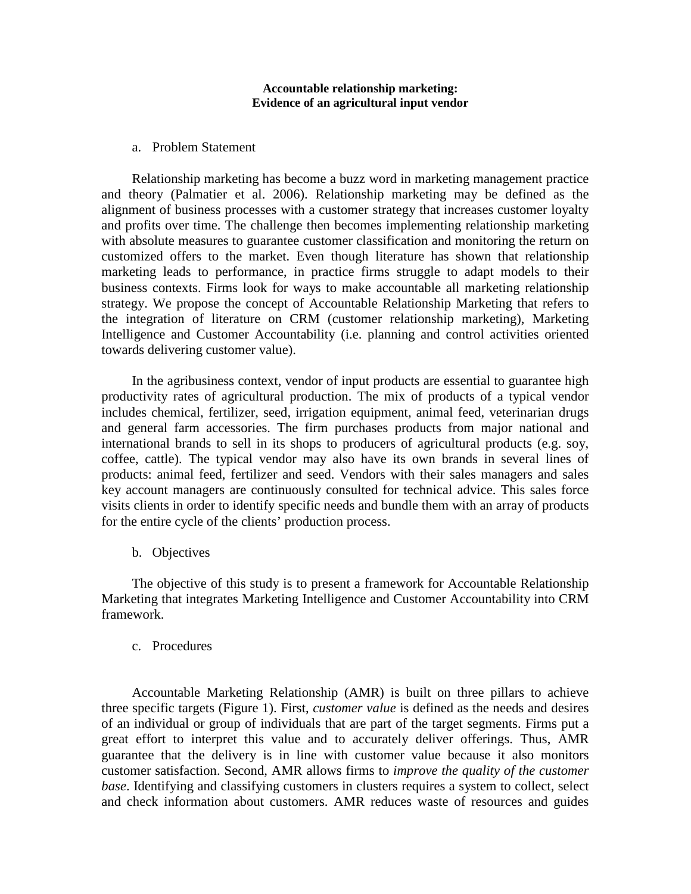### **Accountable relationship marketing: Evidence of an agricultural input vendor**

### a. Problem Statement

Relationship marketing has become a buzz word in marketing management practice and theory (Palmatier et al. 2006). Relationship marketing may be defined as the alignment of business processes with a customer strategy that increases customer loyalty and profits over time. The challenge then becomes implementing relationship marketing with absolute measures to guarantee customer classification and monitoring the return on customized offers to the market. Even though literature has shown that relationship marketing leads to performance, in practice firms struggle to adapt models to their business contexts. Firms look for ways to make accountable all marketing relationship strategy. We propose the concept of Accountable Relationship Marketing that refers to the integration of literature on CRM (customer relationship marketing), Marketing Intelligence and Customer Accountability (i.e. planning and control activities oriented towards delivering customer value).

In the agribusiness context, vendor of input products are essential to guarantee high productivity rates of agricultural production. The mix of products of a typical vendor includes chemical, fertilizer, seed, irrigation equipment, animal feed, veterinarian drugs and general farm accessories. The firm purchases products from major national and international brands to sell in its shops to producers of agricultural products (e.g. soy, coffee, cattle). The typical vendor may also have its own brands in several lines of products: animal feed, fertilizer and seed. Vendors with their sales managers and sales key account managers are continuously consulted for technical advice. This sales force visits clients in order to identify specific needs and bundle them with an array of products for the entire cycle of the clients' production process.

b. Objectives

The objective of this study is to present a framework for Accountable Relationship Marketing that integrates Marketing Intelligence and Customer Accountability into CRM framework.

## c. Procedures

Accountable Marketing Relationship (AMR) is built on three pillars to achieve three specific targets (Figure 1). First, *customer value* is defined as the needs and desires of an individual or group of individuals that are part of the target segments. Firms put a great effort to interpret this value and to accurately deliver offerings. Thus, AMR guarantee that the delivery is in line with customer value because it also monitors customer satisfaction. Second, AMR allows firms to *improve the quality of the customer base*. Identifying and classifying customers in clusters requires a system to collect, select and check information about customers. AMR reduces waste of resources and guides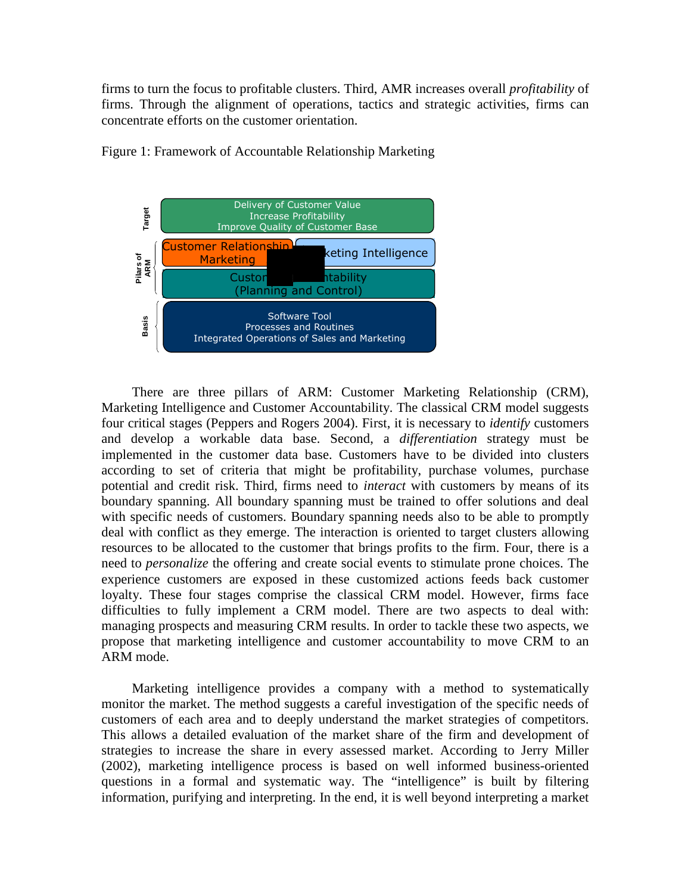firms to turn the focus to profitable clusters. Third, AMR increases overall *profitability* of firms. Through the alignment of operations, tactics and strategic activities, firms can concentrate efforts on the customer orientation.



Figure 1: Framework of Accountable Relationship Marketing

There are three pillars of ARM: Customer Marketing Relationship (CRM), Marketing Intelligence and Customer Accountability. The classical CRM model suggests four critical stages (Peppers and Rogers 2004). First, it is necessary to *identify* customers and develop a workable data base. Second, a *differentiation* strategy must be implemented in the customer data base. Customers have to be divided into clusters according to set of criteria that might be profitability, purchase volumes, purchase potential and credit risk. Third, firms need to *interact* with customers by means of its boundary spanning. All boundary spanning must be trained to offer solutions and deal with specific needs of customers. Boundary spanning needs also to be able to promptly deal with conflict as they emerge. The interaction is oriented to target clusters allowing resources to be allocated to the customer that brings profits to the firm. Four, there is a need to *personalize* the offering and create social events to stimulate prone choices. The experience customers are exposed in these customized actions feeds back customer loyalty. These four stages comprise the classical CRM model. However, firms face difficulties to fully implement a CRM model. There are two aspects to deal with: managing prospects and measuring CRM results. In order to tackle these two aspects, we propose that marketing intelligence and customer accountability to move CRM to an ARM mode.

Marketing intelligence provides a company with a method to systematically monitor the market. The method suggests a careful investigation of the specific needs of customers of each area and to deeply understand the market strategies of competitors. This allows a detailed evaluation of the market share of the firm and development of strategies to increase the share in every assessed market. According to Jerry Miller (2002), marketing intelligence process is based on well informed business-oriented questions in a formal and systematic way. The "intelligence" is built by filtering information, purifying and interpreting. In the end, it is well beyond interpreting a market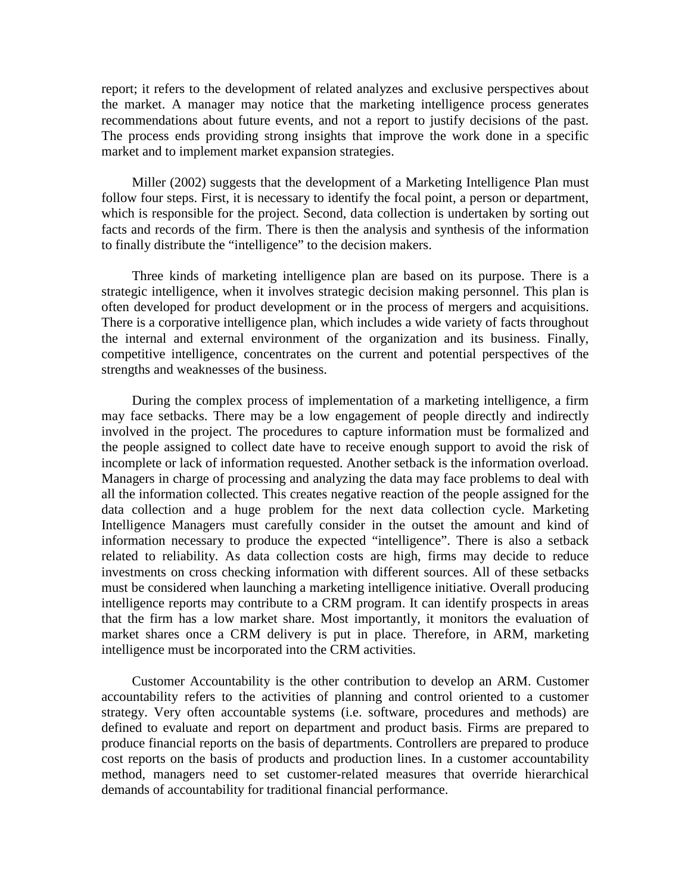report; it refers to the development of related analyzes and exclusive perspectives about the market. A manager may notice that the marketing intelligence process generates recommendations about future events, and not a report to justify decisions of the past. The process ends providing strong insights that improve the work done in a specific market and to implement market expansion strategies.

Miller (2002) suggests that the development of a Marketing Intelligence Plan must follow four steps. First, it is necessary to identify the focal point, a person or department, which is responsible for the project. Second, data collection is undertaken by sorting out facts and records of the firm. There is then the analysis and synthesis of the information to finally distribute the "intelligence" to the decision makers.

Three kinds of marketing intelligence plan are based on its purpose. There is a strategic intelligence, when it involves strategic decision making personnel. This plan is often developed for product development or in the process of mergers and acquisitions. There is a corporative intelligence plan, which includes a wide variety of facts throughout the internal and external environment of the organization and its business. Finally, competitive intelligence, concentrates on the current and potential perspectives of the strengths and weaknesses of the business.

During the complex process of implementation of a marketing intelligence, a firm may face setbacks. There may be a low engagement of people directly and indirectly involved in the project. The procedures to capture information must be formalized and the people assigned to collect date have to receive enough support to avoid the risk of incomplete or lack of information requested. Another setback is the information overload. Managers in charge of processing and analyzing the data may face problems to deal with all the information collected. This creates negative reaction of the people assigned for the data collection and a huge problem for the next data collection cycle. Marketing Intelligence Managers must carefully consider in the outset the amount and kind of information necessary to produce the expected "intelligence". There is also a setback related to reliability. As data collection costs are high, firms may decide to reduce investments on cross checking information with different sources. All of these setbacks must be considered when launching a marketing intelligence initiative. Overall producing intelligence reports may contribute to a CRM program. It can identify prospects in areas that the firm has a low market share. Most importantly, it monitors the evaluation of market shares once a CRM delivery is put in place. Therefore, in ARM, marketing intelligence must be incorporated into the CRM activities.

Customer Accountability is the other contribution to develop an ARM. Customer accountability refers to the activities of planning and control oriented to a customer strategy. Very often accountable systems (i.e. software, procedures and methods) are defined to evaluate and report on department and product basis. Firms are prepared to produce financial reports on the basis of departments. Controllers are prepared to produce cost reports on the basis of products and production lines. In a customer accountability method, managers need to set customer-related measures that override hierarchical demands of accountability for traditional financial performance.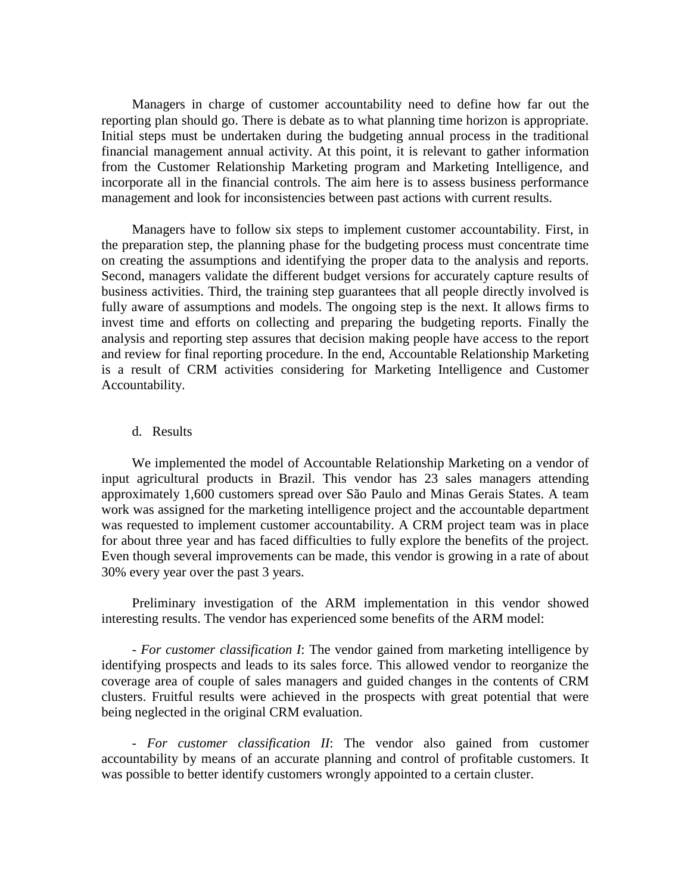Managers in charge of customer accountability need to define how far out the reporting plan should go. There is debate as to what planning time horizon is appropriate. Initial steps must be undertaken during the budgeting annual process in the traditional financial management annual activity. At this point, it is relevant to gather information from the Customer Relationship Marketing program and Marketing Intelligence, and incorporate all in the financial controls. The aim here is to assess business performance management and look for inconsistencies between past actions with current results.

Managers have to follow six steps to implement customer accountability. First, in the preparation step, the planning phase for the budgeting process must concentrate time on creating the assumptions and identifying the proper data to the analysis and reports. Second, managers validate the different budget versions for accurately capture results of business activities. Third, the training step guarantees that all people directly involved is fully aware of assumptions and models. The ongoing step is the next. It allows firms to invest time and efforts on collecting and preparing the budgeting reports. Finally the analysis and reporting step assures that decision making people have access to the report and review for final reporting procedure. In the end, Accountable Relationship Marketing is a result of CRM activities considering for Marketing Intelligence and Customer Accountability.

### d. Results

We implemented the model of Accountable Relationship Marketing on a vendor of input agricultural products in Brazil. This vendor has 23 sales managers attending approximately 1,600 customers spread over São Paulo and Minas Gerais States. A team work was assigned for the marketing intelligence project and the accountable department was requested to implement customer accountability. A CRM project team was in place for about three year and has faced difficulties to fully explore the benefits of the project. Even though several improvements can be made, this vendor is growing in a rate of about 30% every year over the past 3 years.

Preliminary investigation of the ARM implementation in this vendor showed interesting results. The vendor has experienced some benefits of the ARM model:

- *For customer classification I*: The vendor gained from marketing intelligence by identifying prospects and leads to its sales force. This allowed vendor to reorganize the coverage area of couple of sales managers and guided changes in the contents of CRM clusters. Fruitful results were achieved in the prospects with great potential that were being neglected in the original CRM evaluation.

- *For customer classification II*: The vendor also gained from customer accountability by means of an accurate planning and control of profitable customers. It was possible to better identify customers wrongly appointed to a certain cluster.